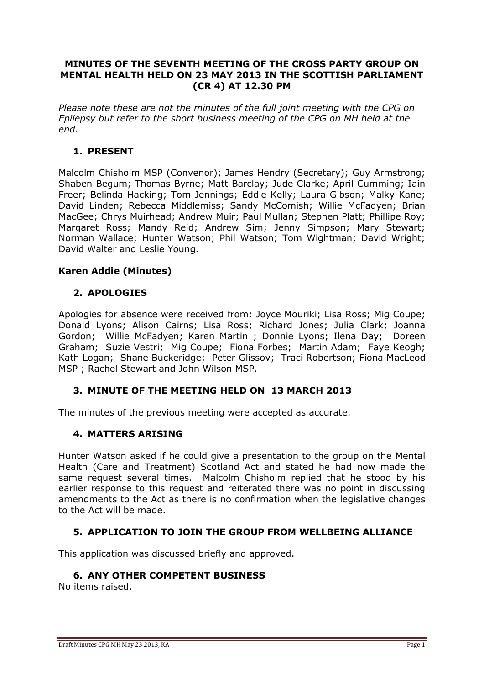#### **MINUTES OF THE SEVENTH MEETING OF THE CROSS PARTY GROUP ON MENTAL HEALTH HELD ON 23 MAY 2013 IN THE SCOTTISH PARLIAMENT (CR 4) AT 12.30 PM**

*Please note these are not the minutes of the full joint meeting with the CPG on Epilepsy but refer to the short business meeting of the CPG on MH held at the end.* 

## **1. PRESENT**

Malcolm Chisholm MSP (Convenor); James Hendry (Secretary); Guy Armstrong; Shaben Begum; Thomas Byrne; Matt Barclay; Jude Clarke; April Cumming; Iain Freer; Belinda Hacking; Tom Jennings; Eddie Kelly; Laura Gibson; Malky Kane; David Linden; Rebecca Middlemiss; Sandy McComish; Willie McFadyen; Brian MacGee; Chrys Muirhead; Andrew Muir; Paul Mullan; Stephen Platt; Phillipe Roy; Margaret Ross; Mandy Reid; Andrew Sim; Jenny Simpson; Mary Stewart; Norman Wallace; Hunter Watson; Phil Watson; Tom Wightman; David Wright; David Walter and Leslie Young.

### **Karen Addie (Minutes)**

## **2. APOLOGIES**

Apologies for absence were received from: Joyce Mouriki; Lisa Ross; Mig Coupe; Donald Lyons; Alison Cairns; Lisa Ross; Richard Jones; Julia Clark; Joanna Gordon; Willie McFadyen; Karen Martin ; Donnie Lyons; Ilena Day; Doreen Graham; Suzie Vestri; Mig Coupe; Fiona Forbes; Martin Adam; Faye Keogh; Kath Logan; Shane Buckeridge; Peter Glissov; Traci Robertson; Fiona MacLeod MSP ; Rachel Stewart and John Wilson MSP.

# **3. MINUTE OF THE MEETING HELD ON 13 MARCH 2013**

The minutes of the previous meeting were accepted as accurate.

### **4. MATTERS ARISING**

Hunter Watson asked if he could give a presentation to the group on the Mental Health (Care and Treatment) Scotland Act and stated he had now made the same request several times. Malcolm Chisholm replied that he stood by his earlier response to this request and reiterated there was no point in discussing amendments to the Act as there is no confirmation when the legislative changes to the Act will be made.

### **5. APPLICATION TO JOIN THE GROUP FROM WELLBEING ALLIANCE**

This application was discussed briefly and approved.

### **6. ANY OTHER COMPETENT BUSINESS**

No items raised.